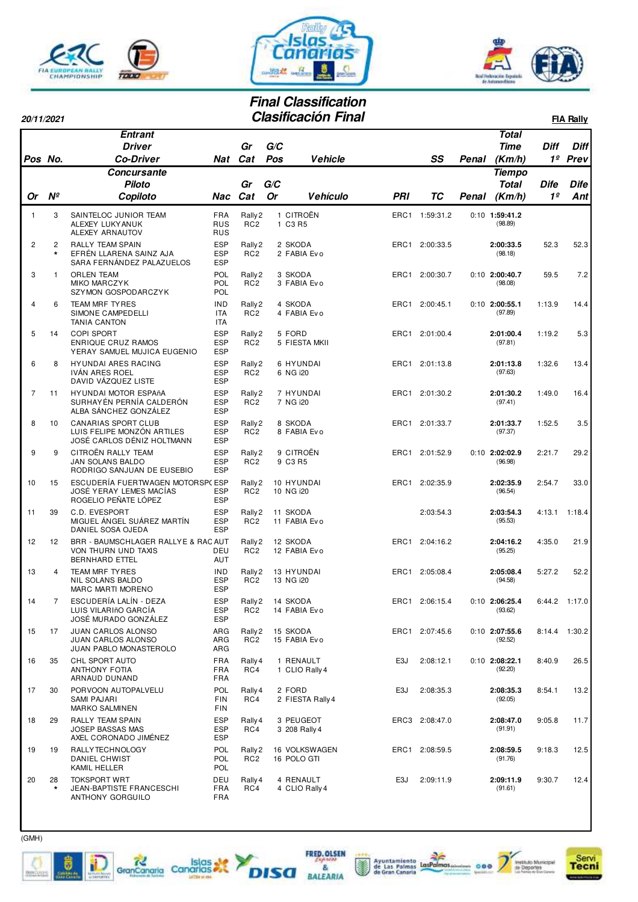





**1º Prev**  Diff Diff

## **Final Classification**

| 20/11/2021 |               | <b>Clasificación Final</b>      |     |     |     |                 |     |    |       |                               |      | <b>FIA Rally</b> |  |  |  |
|------------|---------------|---------------------------------|-----|-----|-----|-----------------|-----|----|-------|-------------------------------|------|------------------|--|--|--|
|            |               | <b>Entrant</b><br><b>Driver</b> |     | Gr  | G/C |                 |     |    |       | <b>Total</b><br>Time          | Diff | Difi             |  |  |  |
| Pos No.    |               | <b>Co-Driver</b>                | Nat | Cat | Pos | <b>Vehicle</b>  |     | SS | Penal | (Km/h)                        | 1º   | Prev             |  |  |  |
|            |               | Concursante<br><b>Piloto</b>    |     | Gr  | G/C |                 |     |    |       | <b>Tiempo</b><br><b>Total</b> | Dife | Dife             |  |  |  |
| <b>Or</b>  | $N^{\varrho}$ | Copiloto                        | Nac | Cat | Or  | <b>Vehículo</b> | PRI | ТC | Penal | (Km/h)                        | 1º   | Ant              |  |  |  |

|                |                           | <b>Concursante</b>                                                                     |                                        |                                       |           |                              |                  |                |       | <b>Tiempo</b>               |                |             |
|----------------|---------------------------|----------------------------------------------------------------------------------------|----------------------------------------|---------------------------------------|-----------|------------------------------|------------------|----------------|-------|-----------------------------|----------------|-------------|
|                |                           | <b>Piloto</b>                                                                          |                                        | Gr                                    | G/C       |                              |                  |                |       | <b>Total</b>                | <b>Dife</b>    | <b>Dife</b> |
| Or             | $N^{\circ}$               | Copiloto                                                                               | Nac                                    | Cat                                   | <b>Or</b> | <b>Vehículo</b>              | PRI              | ТC             | Penal | (Km/h)                      | 1 <sup>o</sup> | Ant         |
| 1              | 3                         | SAINTELOC JUNIOR TEAM<br>ALEXEY LUKYANUK<br>ALEXEY ARNAUTOV                            | <b>FRA</b><br><b>RUS</b><br><b>RUS</b> | Rally 2<br>RC <sub>2</sub>            |           | 1 CITROËN<br>1 C3 R5         |                  | ERC1 1:59:31.2 |       | $0:10$ 1:59:41.2<br>(98.89) |                |             |
| $\overline{c}$ | $\overline{c}$<br>$\star$ | <b>RALLY TEAM SPAIN</b><br>EFRÉN LLARENA SAINZ AJA<br>SARA FERNÁNDEZ PALAZUELOS        | <b>ESP</b><br><b>ESP</b><br><b>ESP</b> | Rally 2<br>RC <sub>2</sub>            |           | 2 SKODA<br>2 FABIA Evo       |                  | ERC1 2:00:33.5 |       | 2:00:33.5<br>(98.18)        | 52.3           | 52.3        |
| 3              | $\mathbf{1}$              | <b>ORLEN TEAM</b><br><b>MIKO MARCZYK</b><br>SZYMON GOSPODARCZYK                        | POL<br>POL<br>POL                      | Rally 2<br>RC <sub>2</sub>            |           | 3 SKODA<br>3 FABIA Evo       | ERC1             | 2:00:30.7      |       | $0:10$ 2:00:40.7<br>(98.08) | 59.5           | 7.2         |
| 4              | 6                         | <b>TEAM MRF TYRES</b><br>SIMONE CAMPEDELLI<br><b>TANIA CANTON</b>                      | <b>IND</b><br><b>ITA</b><br><b>ITA</b> | Rally <sub>2</sub><br>RC <sub>2</sub> |           | 4 SKODA<br>4 FABIA Evo       |                  | ERC1 2:00:45.1 |       | $0:10$ 2:00:55.1<br>(97.89) | 1:13.9         | 14.4        |
| 5              | 14                        | <b>COPI SPORT</b><br>ENRIQUE CRUZ RAMOS<br>YERAY SAMUEL MUJICA EUGENIO                 | <b>ESP</b><br><b>ESP</b><br><b>ESP</b> | Rally 2<br>RC <sub>2</sub>            |           | 5 FORD<br>5 FIESTA MKII      |                  | ERC1 2:01:00.4 |       | 2:01:00.4<br>(97.81)        | 1:19.2         | 5.3         |
| 6              | 8                         | HYUNDAI ARES RACING<br>IVAN ARES ROEL<br>DAVID VÁZQUEZ LISTE                           | <b>ESP</b><br><b>ESP</b><br><b>ESP</b> | Rally 2<br>RC <sub>2</sub>            |           | 6 HYUNDAI<br>6 NG i20        | ERC1             | 2:01:13.8      |       | 2:01:13.8<br>(97.63)        | 1:32.6         | 13.4        |
| 7              | 11                        | HYUNDAI MOTOR ESPAñA<br>SURHAYÉN PERNÍA CALDERÓN<br>ALBA SÁNCHEZ GONZÁLEZ              | <b>ESP</b><br><b>ESP</b><br><b>ESP</b> | Rally 2<br>RC <sub>2</sub>            |           | 7 HYUNDAI<br>7 NG i20        |                  | ERC1 2:01:30.2 |       | 2:01:30.2<br>(97.41)        | 1:49.0         | 16.4        |
| 8              | 10                        | <b>CANARIAS SPORT CLUB</b><br>LUIS FELIPE MONZÓN ARTILES<br>JOSÉ CARLOS DÉNIZ HOLTMANN | <b>ESP</b><br><b>ESP</b><br><b>ESP</b> | Rally 2<br>RC <sub>2</sub>            |           | 8 SKODA<br>8 FABIA Evo       |                  | ERC1 2:01:33.7 |       | 2:01:33.7<br>(97.37)        | 1:52.5         | 3.5         |
| 9              | 9                         | CITROËN RALLY TEAM<br>JAN SOLANS BALDO<br>RODRIGO SANJUAN DE EUSEBIO                   | <b>ESP</b><br><b>ESP</b><br><b>ESP</b> | Rally 2<br>RC <sub>2</sub>            |           | 9 CITROËN<br>9 C3 R5         |                  | ERC1 2:01:52.9 |       | $0:10$ 2:02:02.9<br>(96.98) | 2:21.7         | 29.2        |
| 10             | 15                        | ESCUDERÍA FUERTWAGEN MOTORSP(ESP<br>JOSÉ YERAY LEMES MACÍAS<br>ROGELIO PEÑATE LÓPEZ    | <b>ESP</b><br><b>ESP</b>               | Rally 2<br>RC <sub>2</sub>            |           | 10 HYUNDAI<br>10 NG i20      |                  | ERC1 2:02:35.9 |       | 2:02:35.9<br>(96.54)        | 2:54.7         | 33.0        |
| 11             | 39                        | C.D. EVESPORT<br>MIGUEL ÁNGEL SUÁREZ MARTÍN<br>DANIEL SOSA OJEDA                       | <b>ESP</b><br><b>ESP</b><br><b>ESP</b> | Rally 2<br>RC <sub>2</sub>            |           | 11 SKODA<br>11 FABIA Evo     |                  | 2:03:54.3      |       | 2:03:54.3<br>(95.53)        | 4:13.1         | 1:18.4      |
| 12             | 12                        | BRR - BAUMSCHLAGER RALLYE & RAC AUT<br>VON THURN UND TAXIS<br><b>BERNHARD ETTEL</b>    | DEU<br><b>AUT</b>                      | Rally 2<br>RC <sub>2</sub>            |           | 12 SKODA<br>12 FABIA Evo     |                  | ERC1 2:04:16.2 |       | 2:04:16.2<br>(95.25)        | 4:35.0         | 21.9        |
| 13             | $\overline{4}$            | TEAM MRF TYRES<br>NIL SOLANS BALDO<br><b>MARC MARTI MORENO</b>                         | <b>IND</b><br><b>ESP</b><br><b>ESP</b> | Rally 2<br>RC <sub>2</sub>            |           | 13 HYUNDAI<br>13 NG i20      |                  | ERC1 2:05:08.4 |       | 2:05:08.4<br>(94.58)        | 5:27.2         | 52.2        |
| 14             | 7                         | ESCUDERÍA LALÍN - DEZA<br>LUIS VILARIñO GARCÍA<br>JOSÉ MURADO GONZÁLEZ                 | <b>ESP</b><br><b>ESP</b><br><b>ESP</b> | Rally 2<br>RC <sub>2</sub>            |           | 14 SKODA<br>14 FABIA Evo     | ERC1             | 2:06:15.4      |       | $0:10$ 2:06:25.4<br>(93.62) | 6:44.2         | 1:17.0      |
| 15             | 17                        | JUAN CARLOS ALONSO<br><b>JUAN CARLOS ALONSO</b><br>JUAN PABLO MONASTEROLO              | ARG<br>ARG<br>ARG                      | Rally 2<br>RC <sub>2</sub>            |           | 15 SKODA<br>15 FABIA Evo     |                  | ERC1 2:07:45.6 |       | $0:10$ 2:07:55.6<br>(92.52) | 8:14.4         | 1:30.2      |
| 16             | 35                        | CHL SPORT AUTO<br>ANTHONY FOTIA<br>ARNAUD DUNAND                                       | <b>FRA</b><br><b>FRA</b><br><b>FRA</b> | Rally 4<br>RC4                        |           | 1 RENAULT<br>1 CLIO Rally 4  | E <sub>3</sub> J | 2:08:12.1      |       | $0:10$ 2:08:22.1<br>(92.20) | 8:40.9         | 26.5        |
| 17             | 30                        | PORVOON AUTOPALVELU<br><b>SAMI PAJARI</b><br><b>MARKO SALMINEN</b>                     | POL<br><b>FIN</b><br><b>FIN</b>        | Rally 4<br>RC4                        |           | 2 FORD<br>2 FIESTA Rally 4   | E3J              | 2:08:35.3      |       | 2:08:35.3<br>(92.05)        | 8:54.1         | 13.2        |
| 18             | 29                        | RALLY TEAM SPAIN<br><b>JOSEP BASSAS MAS</b><br>AXEL CORONADO JIMÉNEZ                   | <b>ESP</b><br><b>ESP</b><br><b>ESP</b> | Rally 4<br>RC4                        |           | 3 PEUGEOT<br>3 208 Rally 4   |                  | ERC3 2:08:47.0 |       | 2:08:47.0<br>(91.91)        | 9:05.8         | 11.7        |
| 19             | 19                        | RALLYTECHNOLOGY<br>DANIEL CHWIST<br>KAMIL HELLER                                       | POL<br>POL<br><b>POL</b>               | Rally 2<br>RC <sub>2</sub>            |           | 16 VOLKSWAGEN<br>16 POLO GTI |                  | ERC1 2:08:59.5 |       | 2:08:59.5<br>(91.76)        | 9:18.3         | 12.5        |
| 20             | 28<br>$\star$             | <b>TOKSPORT WRT</b><br>JEAN-BAPTISTE FRANCESCHI<br>ANTHONY GORGUILO                    | DEU<br><b>FRA</b><br>FRA               | Rally 4<br>RC4                        |           | 4 RENAULT<br>4 CLIO Rally 4  | E3J              | 2:09:11.9      |       | 2:09:11.9<br>(91.61)        | 9:30.7         | 12.4        |



t

**SINGUIST** 



FRED. OLSEN

BALEARIA

**DISA** 



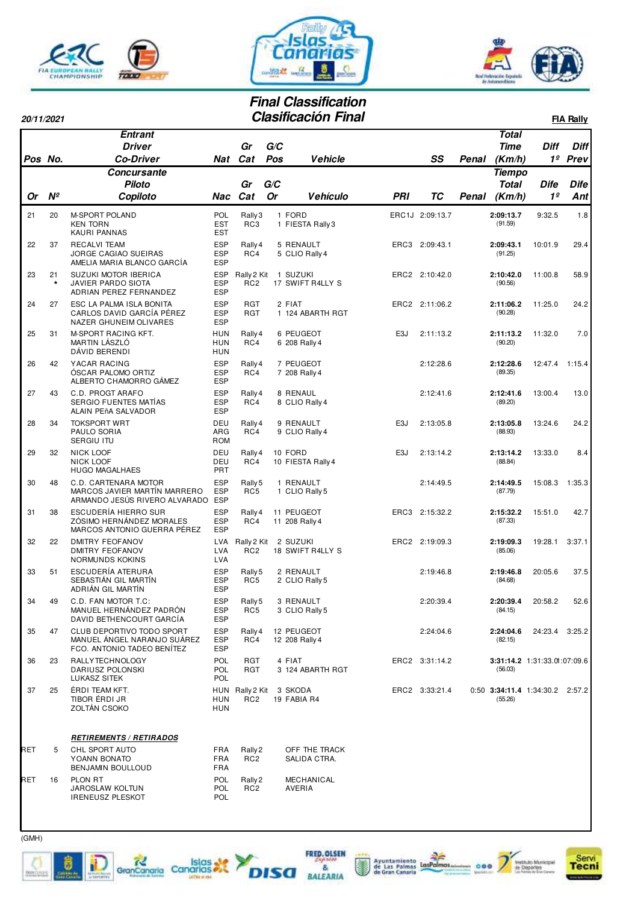





## **Final Classification Clasificación Final**

| 20/11/2021 |               |                                                                                           |                                        |                                    |           | Clasificación Final           |                  |                 |       |                                              |                | <b>FIA Rally</b> |
|------------|---------------|-------------------------------------------------------------------------------------------|----------------------------------------|------------------------------------|-----------|-------------------------------|------------------|-----------------|-------|----------------------------------------------|----------------|------------------|
|            |               | Entrant<br><b>Driver</b>                                                                  |                                        | Gr                                 | G/C       |                               |                  |                 |       | <b>Total</b><br><b>Time</b>                  | <b>Diff</b>    | <b>Diff</b>      |
| Pos No.    |               | <b>Co-Driver</b><br>Concursante                                                           |                                        | Nat Cat                            | Pos       | <b>Vehicle</b>                |                  | SS              | Penal | (Km/h)                                       | 1 <sup>o</sup> | Prev             |
|            |               | <b>Piloto</b>                                                                             |                                        | Gr                                 | G/C       |                               |                  |                 |       | <b>Tiempo</b><br><b>Total</b>                | <b>Dife</b>    | <b>Dife</b>      |
| Or         | $N^{\circ}$   | Copiloto                                                                                  |                                        | Nac Cat                            | <b>Or</b> | <b>Vehículo</b>               | PRI              | ТC              | Penal | (Km/h)                                       | 1 <sup>o</sup> | Ant              |
| 21         | 20            | <b>M-SPORT POLAND</b>                                                                     | POL                                    | Rally 3                            |           | 1 FORD                        |                  | ERC1J 2:09:13.7 |       | 2:09:13.7                                    | 9:32.5         | 1.8              |
|            |               | <b>KEN TORN</b><br>KAURI PANNAS                                                           | <b>EST</b><br><b>EST</b>               | RC3                                |           | 1 FIESTA Rally 3              |                  |                 |       | (91.59)                                      |                |                  |
| 22         | 37            | <b>RECALVI TEAM</b><br>JORGE CAGIAO SUEIRAS<br>AMELIA MARIA BLANCO GARCÍA                 | <b>ESP</b><br><b>ESP</b><br><b>ESP</b> | Rally 4<br>RC4                     |           | 5 RENAULT<br>5 CLIO Rally 4   |                  | ERC3 2:09:43.1  |       | 2:09:43.1<br>(91.25)                         | 10:01.9        | 29.4             |
| 23         | 21<br>$\star$ | SUZUKI MOTOR IBERICA<br>JAVIER PARDO SIOTA<br>ADRIAN PEREZ FERNANDEZ                      | <b>ESP</b><br><b>ESP</b><br><b>ESP</b> | Rally 2 Kit<br>RC <sub>2</sub>     |           | 1 SUZUKI<br>17 SWIFT R4LLY S  |                  | ERC2 2:10:42.0  |       | 2:10:42.0<br>(90.56)                         | 11:00.8        | 58.9             |
| 24         | 27            | ESC LA PALMA ISLA BONITA<br>CARLOS DAVID GARCÍA PÉREZ<br>NAZER GHUNEIM OLIVARES           | <b>ESP</b><br><b>ESP</b><br><b>ESP</b> | RGT<br>RGT                         |           | 2 FIAT<br>1 124 ABARTH RGT    |                  | ERC2 2:11:06.2  |       | 2:11:06.2<br>(90.28)                         | 11:25.0        | 24.2             |
| 25         | 31            | M-SPORT RACING KFT.<br>MARTIN LÁSZLÓ<br>DÁVID BERENDI                                     | HUN<br>HUN<br>HUN                      | Rally 4<br>RC4                     |           | 6 PEUGEOT<br>6 208 Rally 4    | E3J              | 2:11:13.2       |       | 2:11:13.2<br>(90.20)                         | 11:32.0        | 7.0              |
| 26         | 42            | YACAR RACING<br>ÓSCAR PALOMO ORTIZ<br>ALBERTO CHAMORRO GÁMEZ                              | <b>ESP</b><br><b>ESP</b><br><b>ESP</b> | Rally 4<br>RC4                     |           | 7 PEUGEOT<br>7 208 Rally 4    |                  | 2:12:28.6       |       | 2:12:28.6<br>(89.35)                         | 12:47.4        | 1:15.4           |
| 27         | 43            | C.D. PROGT ARAFO<br>SERGIO FUENTES MATÍAS<br>ALAIN PEñA SALVADOR                          | <b>ESP</b><br><b>ESP</b><br><b>ESP</b> | Rally 4<br>RC4                     |           | 8 RENAUL<br>8 CLIO Rally 4    |                  | 2:12:41.6       |       | 2:12:41.6<br>(89.20)                         | 13:00.4        | 13.0             |
| 28         | 34            | <b>TOKSPORT WRT</b><br>PAULO SORIA<br><b>SERGIU ITU</b>                                   | DEU<br>ARG<br><b>ROM</b>               | Rally 4<br>RC4                     |           | 9 RENAULT<br>9 CLIO Rally 4   | E3J              | 2:13:05.8       |       | 2:13:05.8<br>(88.93)                         | 13:24.6        | 24.2             |
| 29         | 32            | <b>NICK LOOF</b><br><b>NICK LOOF</b><br><b>HUGO MAGALHAES</b>                             | DEU<br>DEU<br><b>PRT</b>               | Rally 4<br>RC4                     |           | 10 FORD<br>10 FIESTA Rally 4  | E <sub>3</sub> J | 2:13:14.2       |       | 2:13:14.2<br>(88.84)                         | 13:33.0        | 8.4              |
| 30         | 48            | C.D. CARTENARA MOTOR<br>MARCOS JAVIER MARTÍN MARRERO<br>ARMANDO JESÚS RIVERO ALVARADO ESP | <b>ESP</b><br><b>ESP</b>               | Rally 5<br>RC5                     |           | 1 RENAULT<br>1 CLIO Rally 5   |                  | 2:14:49.5       |       | 2:14:49.5<br>(87.79)                         | 15:08.3        | 1:35.3           |
| 31         | 38            | ESCUDERÍA HIERRO SUR<br>ZÓSIMO HERNÁNDEZ MORALES<br>MARCOS ANTONIO GUERRA PÉREZ           | <b>ESP</b><br><b>ESP</b><br><b>ESP</b> | Rally 4<br>RC4                     |           | 11 PEUGEOT<br>11 208 Rally 4  |                  | ERC3 2:15:32.2  |       | 2:15:32.2<br>(87.33)                         | 15:51.0        | 42.7             |
| 32         | 22            | <b>DMITRY FEOFANOV</b><br><b>DMITRY FEOFANOV</b><br>NORMUNDS KOKINS                       | LVA<br><b>LVA</b><br><b>LVA</b>        | Rally 2 Kit<br>RC <sub>2</sub>     |           | 2 SUZUKI<br>18 SWIFT R4LLY S  |                  | ERC2 2:19:09.3  |       | 2:19:09.3<br>(85.06)                         | 19:28.1        | 3:37.1           |
| 33         | 51            | ESCUDERÍA ATERURA<br>SEBASTIÁN GIL MARTÍN<br>ADRIÁN GIL MARTÍN                            | <b>ESP</b><br><b>ESP</b><br><b>ESP</b> | Rally 5<br>RC5                     |           | 2 RENAULT<br>2 CLIO Rally 5   |                  | 2:19:46.8       |       | 2:19:46.8<br>(84.68)                         | 20:05.6        | 37.5             |
| 34         | 49            | C.D. FAN MOTOR T.C:<br>MANUEL HERNÁNDEZ PADRÓN<br>DAVID BETHENCOURT GARCÍA                | <b>ESP</b><br><b>ESP</b><br><b>ESP</b> | Rally 5<br>RC5                     |           | 3 RENAULT<br>3 CLIO Rally 5   |                  | 2:20:39.4       |       | 2:20:39.4<br>(84.15)                         | 20:58.2        | 52.6             |
| 35         | 47            | CLUB DEPORTIVO TODO SPORT<br>MANUEL ÁNGEL NARANJO SUÁREZ<br>FCO. ANTONIO TADEO BENÍTEZ    | <b>ESP</b><br><b>ESP</b><br><b>ESP</b> | Rally 4<br>RC4                     |           | 12 PEUGEOT<br>12 208 Rally 4  |                  | 2:24:04.6       |       | 2:24:04.6<br>(82.15)                         | 24:23.4        | 3:25.2           |
| 36         | 23            | <b>RALLYTECHNOLOGY</b><br>DARIUSZ POLONSKI<br>LUKASZ SITEK                                | POL<br><b>POL</b><br>POL               | RGT<br>RGT                         |           | 4 FIAT<br>3 124 ABARTH RGT    |                  | ERC2 3:31:14.2  |       | 3:31:14.2 1:31:33.01:07:09.6<br>(56.03)      |                |                  |
| 37         | 25            | ÉRDI TEAM KFT.<br>TIBOR ÉRDI JR<br>ZOLTÁN CSOKO                                           | <b>HUN</b><br><b>HUN</b>               | HUN Rally 2 Kit<br>RC <sub>2</sub> |           | 3 SKODA<br>19 FABIA R4        |                  | ERC2 3:33:21.4  |       | $0:50$ 3:34:11.4 1:34:30.2 2:57.2<br>(55.26) |                |                  |
|            |               | <b>RETIREMENTS / RETIRADOS</b>                                                            |                                        |                                    |           |                               |                  |                 |       |                                              |                |                  |
| RET        | 5             | CHL SPORT AUTO<br>YOANN BONATO<br>BENJAMIN BOULLOUD                                       | FRA<br><b>FRA</b><br>FRA               | Rally 2<br>RC <sub>2</sub>         |           | OFF THE TRACK<br>SALIDA CTRA. |                  |                 |       |                                              |                |                  |
| RET        | 16            | PLON RT<br><b>JAROSLAW KOLTUN</b><br><b>IRENEUSZ PLESKOT</b>                              | POL<br><b>POL</b><br>POL               | Rally 2<br>RC <sub>2</sub>         |           | MECHANICAL<br>AVERIA          |                  |                 |       |                                              |                |                  |





 $\bf{D}$ 

**DISA**